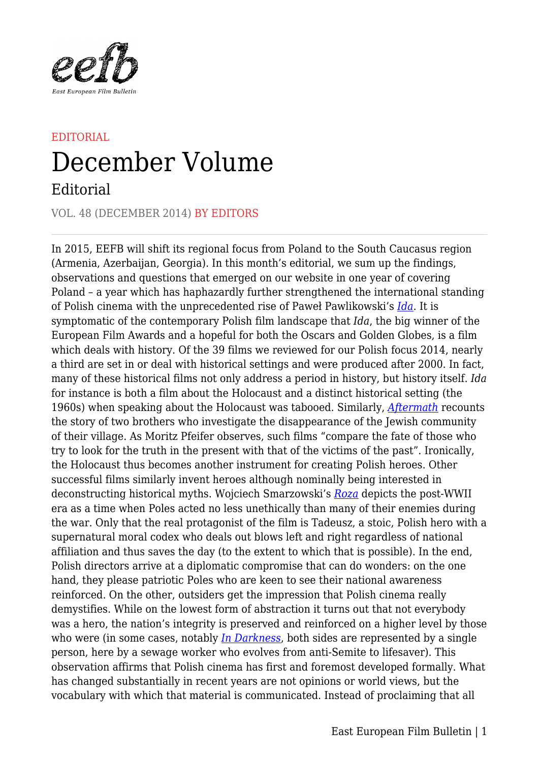

## EDITORIAL December Volume

## Editorial

VOL. 48 (DECEMBER 2014) BY EDITORS

In 2015, EEFB will shift its regional focus from Poland to the South Caucasus region (Armenia, Azerbaijan, Georgia). In this month's editorial, we sum up the findings, observations and questions that emerged on our website in one year of covering Poland – a year which has haphazardly further strengthened the international standing of Polish cinema with the unprecedented rise of Paweł Pawlikowski's *[Ida](https://eefb.org/archive/march-2014/ida/)*. It is symptomatic of the contemporary Polish film landscape that *Ida*, the big winner of the European Film Awards and a hopeful for both the Oscars and Golden Globes, is a film which deals with history. Of the 39 films we reviewed for our Polish focus 2014, nearly a third are set in or deal with historical settings and were produced after 2000. In fact, many of these historical films not only address a period in history, but history itself. *Ida* for instance is both a film about the Holocaust and a distinct historical setting (the 1960s) when speaking about the Holocaust was tabooed. Similarly, *[Aftermath](https://eefb.org/archive/june-2014/aftermath/)* recounts the story of two brothers who investigate the disappearance of the Jewish community of their village. As Moritz Pfeifer observes, such films "compare the fate of those who try to look for the truth in the present with that of the victims of the past". Ironically, the Holocaust thus becomes another instrument for creating Polish heroes. Other successful films similarly invent heroes although nominally being interested in deconstructing historical myths. Wojciech Smarzowski's *[Roza](https://eefb.org/archive/february-2014/roza/)* depicts the post-WWII era as a time when Poles acted no less unethically than many of their enemies during the war. Only that the real protagonist of the film is Tadeusz, a stoic, Polish hero with a supernatural moral codex who deals out blows left and right regardless of national affiliation and thus saves the day (to the extent to which that is possible). In the end, Polish directors arrive at a diplomatic compromise that can do wonders: on the one hand, they please patriotic Poles who are keen to see their national awareness reinforced. On the other, outsiders get the impression that Polish cinema really demystifies. While on the lowest form of abstraction it turns out that not everybody was a hero, the nation's integrity is preserved and reinforced on a higher level by those who were (in some cases, notably *[In Darkness](https://eefb.org/archive/april-2012/in-darkness/)*, both sides are represented by a single person, here by a sewage worker who evolves from anti-Semite to lifesaver). This observation affirms that Polish cinema has first and foremost developed formally. What has changed substantially in recent years are not opinions or world views, but the vocabulary with which that material is communicated. Instead of proclaiming that all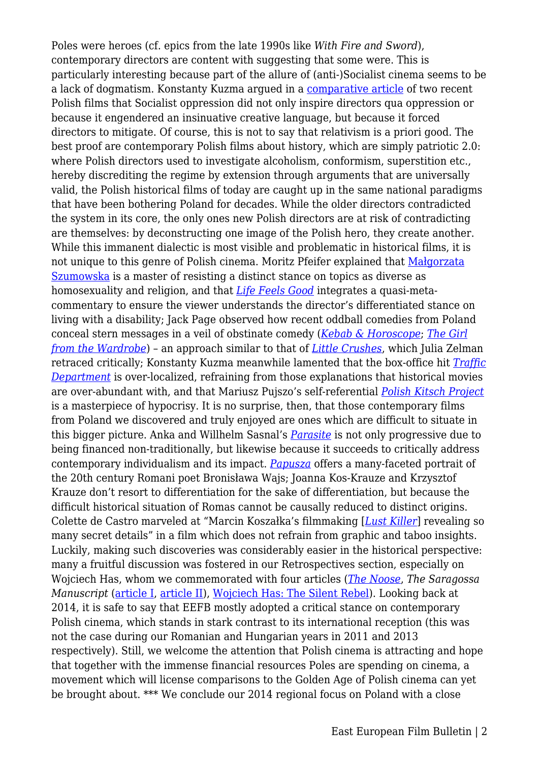Poles were heroes (cf. epics from the late 1990s like *With Fire and Sword*), contemporary directors are content with suggesting that some were. This is particularly interesting because part of the allure of (anti-)Socialist cinema seems to be a lack of dogmatism. Konstanty Kuzma argued in a [comparative article](https://eefb.org/archive/july-2014/four-nights-with-anna-and-in-hiding/) of two recent Polish films that Socialist oppression did not only inspire directors qua oppression or because it engendered an insinuative creative language, but because it forced directors to mitigate. Of course, this is not to say that relativism is a priori good. The best proof are contemporary Polish films about history, which are simply patriotic 2.0: where Polish directors used to investigate alcoholism, conformism, superstition etc., hereby discrediting the regime by extension through arguments that are universally valid, the Polish historical films of today are caught up in the same national paradigms that have been bothering Poland for decades. While the older directors contradicted the system in its core, the only ones new Polish directors are at risk of contradicting are themselves: by deconstructing one image of the Polish hero, they create another. While this immanent dialectic is most visible and problematic in historical films, it is not unique to this genre of Polish cinema. Moritz Pfeifer explained that [Małgorzata](https://eefb.org/archive/january-2014/in-the-name-of/) [Szumowska](https://eefb.org/archive/january-2014/in-the-name-of/) is a master of resisting a distinct stance on topics as diverse as homosexuality and religion, and that *[Life Feels Good](https://eefb.org/archive/may-2014/life-feels-good/)* integrates a quasi-metacommentary to ensure the viewer understands the director's differentiated stance on living with a disability; Jack Page observed how recent oddball comedies from Poland conceal stern messages in a veil of obstinate comedy (*[Kebab & Horoscope](https://eefb.org/archive/november-2014/kebab-horoscope/)*; *[The Girl](https://eefb.org/archive/may-2014/the-girl-from-the-wardrobe/) [from the Wardrobe](https://eefb.org/archive/may-2014/the-girl-from-the-wardrobe/)*) – an approach similar to that of *[Little Crushes](https://eefb.org/archive/november-2014/little-crushes/)*, which Julia Zelman retraced critically; Konstanty Kuzma meanwhile lamented that the box-office hit *[Traffic](https://eefb.org/archive/august-2014/traffic-department/) [Department](https://eefb.org/archive/august-2014/traffic-department/)* is over-localized, refraining from those explanations that historical movies are over-abundant with, and that Mariusz Pujszo's self-referential *[Polish Kitsch Project](https://eefb.org/archive/february-2014/polish-kitsch-project/)* is a masterpiece of hypocrisy. It is no surprise, then, that those contemporary films from Poland we discovered and truly enjoyed are ones which are difficult to situate in this bigger picture. Anka and Willhelm Sasnal's *[Parasite](https://eefb.org/archive/march-2014/parasite/)* is not only progressive due to being financed non-traditionally, but likewise because it succeeds to critically address contemporary individualism and its impact. *[Papusza](https://eefb.org/archive/january-2014/papusza/)* offers a many-faceted portrait of the 20th century Romani poet Bronisława Wajs; Joanna Kos-Krauze and Krzysztof Krauze don't resort to differentiation for the sake of differentiation, but because the difficult historical situation of Romas cannot be causally reduced to distinct origins. Colette de Castro marveled at "Marcin Koszałka's filmmaking [*[Lust Killer](https://eefb.org/archive/february-2014/the-lust-killer/)*] revealing so many secret details" in a film which does not refrain from graphic and taboo insights. Luckily, making such discoveries was considerably easier in the historical perspective: many a fruitful discussion was fostered in our Retrospectives section, especially on Wojciech Has, whom we commemorated with four articles (*[The Noose](https://eefb.org/archive/november-2014/the-noose/)*, *The Saragossa Manuscript* [\(article I](https://eefb.org/archive/october-2014/the-saragossa-manuscript/), [article II](https://eefb.org/archive/november-2014/the-saragossa-manuscript-ii/)), [Wojciech Has: The Silent Rebel\)](https://eefb.org/archive/october-2014/wojciech-has-the-silent-rebel/). Looking back at 2014, it is safe to say that EEFB mostly adopted a critical stance on contemporary Polish cinema, which stands in stark contrast to its international reception (this was not the case during our Romanian and Hungarian years in 2011 and 2013 respectively). Still, we welcome the attention that Polish cinema is attracting and hope that together with the immense financial resources Poles are spending on cinema, a movement which will license comparisons to the Golden Age of Polish cinema can yet be brought about. \*\*\* We conclude our 2014 regional focus on Poland with a close